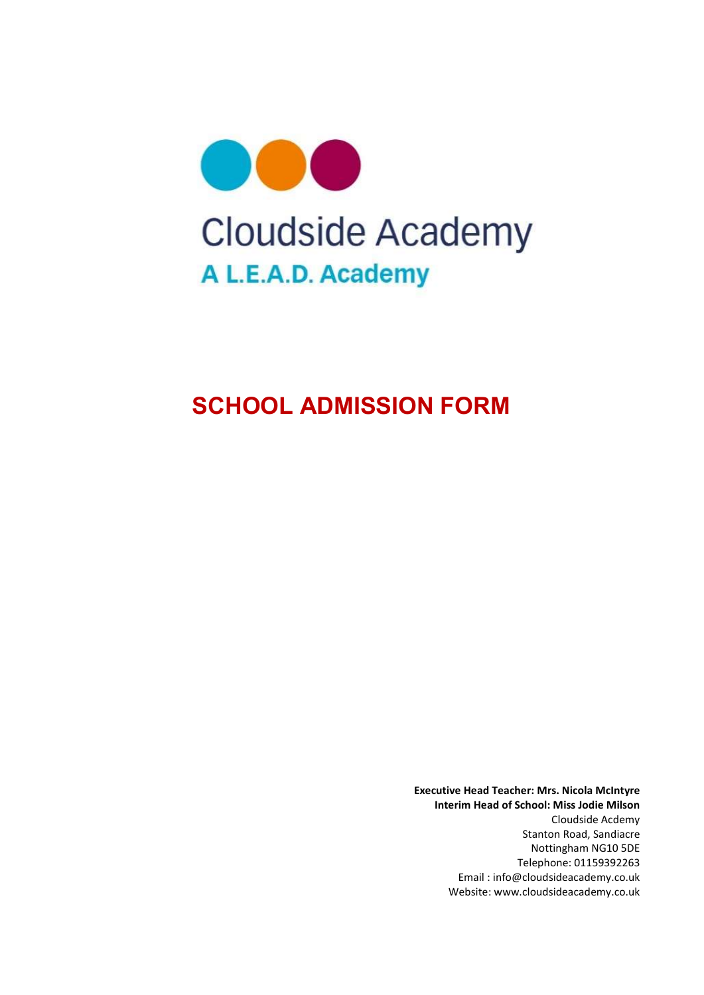

# SCHOOL ADMISSION FORM

Executive Head Teacher: Mrs. Nicola McIntyre Interim Head of School: Miss Jodie Milson Cloudside Acdemy Stanton Road, Sandiacre Nottingham NG10 5DE Telephone: 01159392263 Email : info@cloudsideacademy.co.uk Website: www.cloudsideacademy.co.uk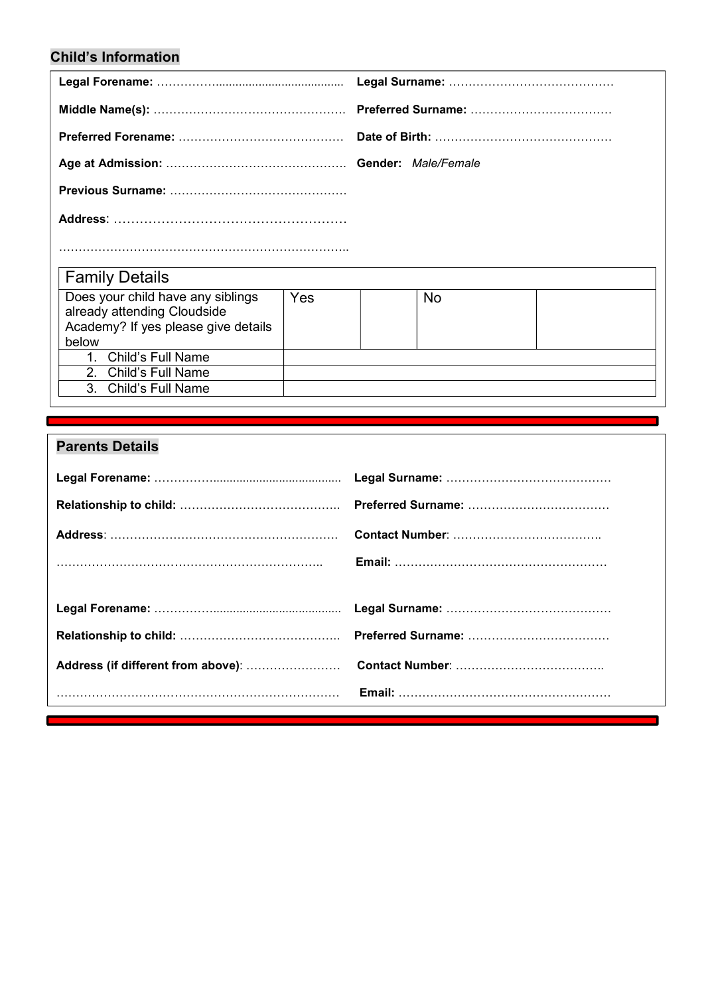### Child's Information

| <b>Family Details</b>                                                                                            |     |  |    |  |  |
|------------------------------------------------------------------------------------------------------------------|-----|--|----|--|--|
| Does your child have any siblings<br>already attending Cloudside<br>Academy? If yes please give details<br>below | Yes |  | No |  |  |
| 1. Child's Full Name                                                                                             |     |  |    |  |  |
| 2. Child's Full Name                                                                                             |     |  |    |  |  |
| <b>Child's Full Name</b><br>$\mathbf{3}$                                                                         |     |  |    |  |  |

### Parents Details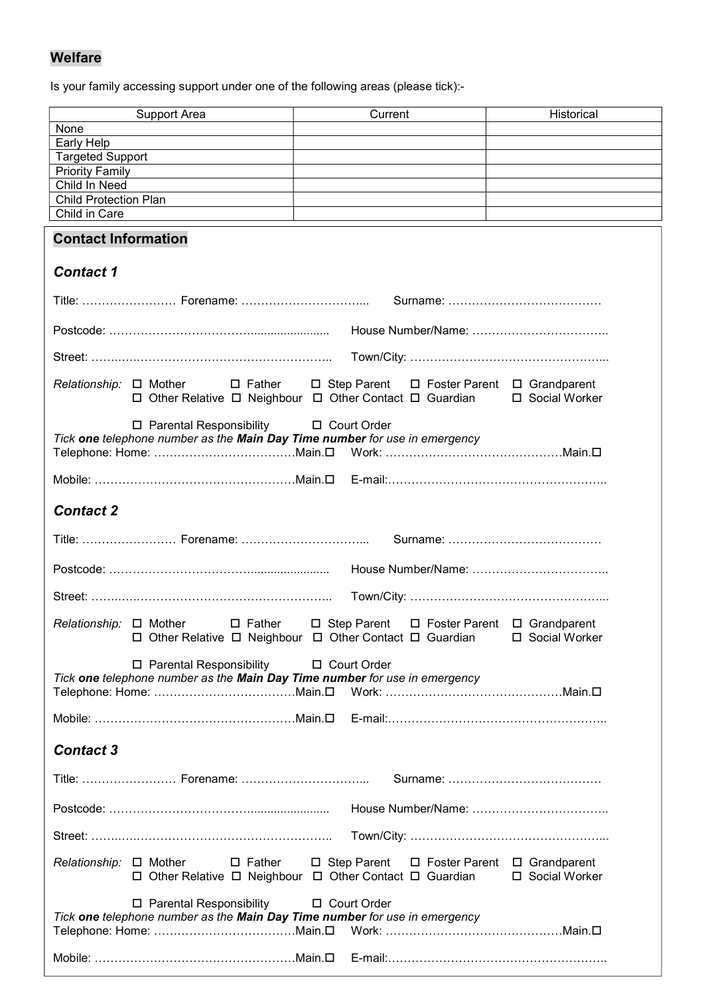### Welfare

Is your family accessing support under one of the following areas (please tick):-

| Support Area                                                                                                               |  | Current                                     | Historical |  |
|----------------------------------------------------------------------------------------------------------------------------|--|---------------------------------------------|------------|--|
| None                                                                                                                       |  |                                             |            |  |
| Early Help                                                                                                                 |  |                                             |            |  |
| <b>Targeted Support</b>                                                                                                    |  |                                             |            |  |
| <b>Priority Family</b>                                                                                                     |  |                                             |            |  |
| Child In Need                                                                                                              |  |                                             |            |  |
| <b>Child Protection Plan</b>                                                                                               |  |                                             |            |  |
| Child in Care                                                                                                              |  |                                             |            |  |
| <b>Contact Information</b>                                                                                                 |  |                                             |            |  |
| <b>Contact 1</b>                                                                                                           |  |                                             |            |  |
|                                                                                                                            |  |                                             |            |  |
|                                                                                                                            |  |                                             |            |  |
|                                                                                                                            |  |                                             |            |  |
| $Relationship: \Box$ Mother<br>$\square$ Father<br>□ Other Relative □ Neighbour □ Other Contact □ Guardian □ Social Worker |  | □ Step Parent □ Foster Parent □ Grandparent |            |  |
| □ Parental Responsibility<br>Tick one telephone number as the Main Day Time number for use in emergency                    |  | □ Court Order                               |            |  |
|                                                                                                                            |  |                                             |            |  |
| <b>Contact 2</b>                                                                                                           |  |                                             |            |  |
|                                                                                                                            |  |                                             |            |  |
|                                                                                                                            |  |                                             |            |  |
|                                                                                                                            |  |                                             |            |  |
| $\square$ Father<br>$Relationship: \Box$ Mother<br>□ Other Relative □ Neighbour □ Other Contact □ Guardian □ Social Worker |  | □ Step Parent □ Foster Parent □ Grandparent |            |  |
| □ Parental Responsibility<br>□ Court Order<br>Tick one telephone number as the Main Day Time number for use in emergency   |  |                                             |            |  |
|                                                                                                                            |  |                                             |            |  |
| <b>Contact 3</b>                                                                                                           |  |                                             |            |  |
|                                                                                                                            |  |                                             |            |  |
|                                                                                                                            |  |                                             |            |  |
|                                                                                                                            |  |                                             |            |  |
|                                                                                                                            |  |                                             |            |  |
| Relationship: □ Mother<br>$\square$ Father<br>□ Other Relative □ Neighbour □ Other Contact □ Guardian □ Social Worker      |  | □ Step Parent □ Foster Parent □ Grandparent |            |  |
| □ Parental Responsibility<br>Tick one telephone number as the Main Day Time number for use in emergency                    |  | □ Court Order                               |            |  |
|                                                                                                                            |  |                                             |            |  |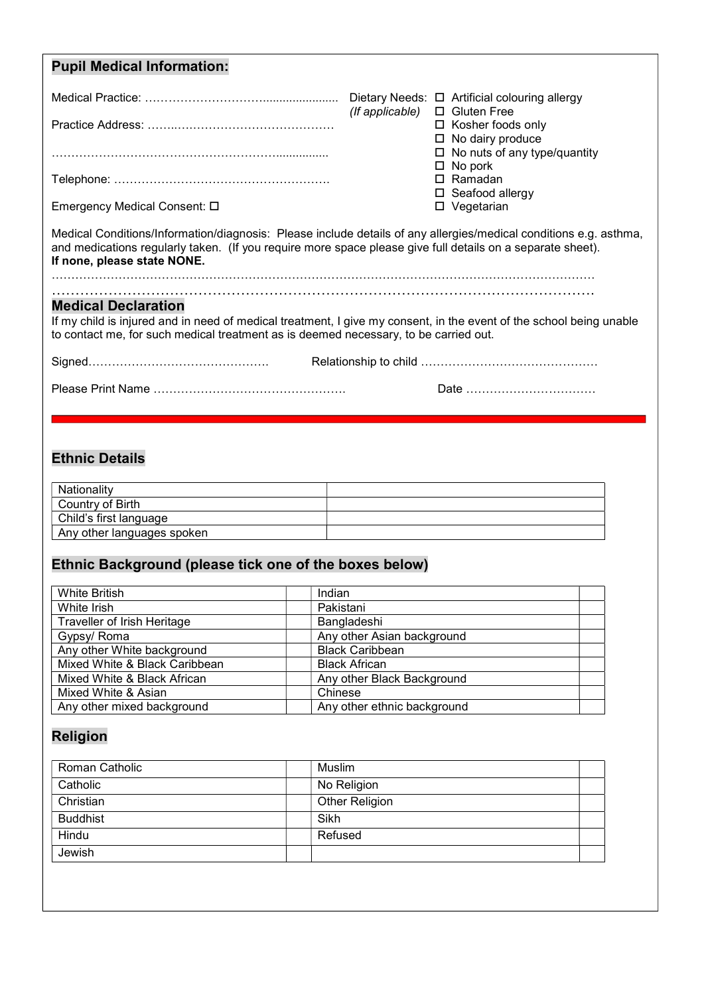| <b>Pupil Medical Information:</b>                                                                                                                                                                                                                              |                                    |                                                          |
|----------------------------------------------------------------------------------------------------------------------------------------------------------------------------------------------------------------------------------------------------------------|------------------------------------|----------------------------------------------------------|
|                                                                                                                                                                                                                                                                | (If applicable) $\Box$ Gluten Free |                                                          |
|                                                                                                                                                                                                                                                                |                                    | $\Box$ Kosher foods only<br>$\Box$ No dairy produce      |
|                                                                                                                                                                                                                                                                |                                    | $\Box$ No nuts of any type/quantity<br>No pork<br>$\Box$ |
|                                                                                                                                                                                                                                                                |                                    | $\Box$ Ramadan<br>$\Box$ Seafood allergy                 |
| Emergency Medical Consent: □                                                                                                                                                                                                                                   |                                    | $\square$ Vegetarian                                     |
| Medical Conditions/Information/diagnosis: Please include details of any allergies/medical conditions e.g. asthma,<br>and medications regularly taken. (If you require more space please give full details on a separate sheet).<br>If none, please state NONE. |                                    |                                                          |
| <b>Medical Declaration</b><br>If my child is injured and in need of medical treatment, I give my consent, in the event of the school being unable                                                                                                              |                                    |                                                          |
| to contact me, for such medical treatment as is deemed necessary, to be carried out.                                                                                                                                                                           |                                    |                                                          |
|                                                                                                                                                                                                                                                                |                                    |                                                          |
|                                                                                                                                                                                                                                                                |                                    | Date                                                     |

## Ethnic Details

| Nationality                |  |
|----------------------------|--|
| Country of Birth           |  |
| Child's first language     |  |
| Any other languages spoken |  |

# Ethnic Background (please tick one of the boxes below)

| Indian                      |
|-----------------------------|
| Pakistani                   |
| Bangladeshi                 |
| Any other Asian background  |
| <b>Black Caribbean</b>      |
| <b>Black African</b>        |
| Any other Black Background  |
| Chinese                     |
| Any other ethnic background |
|                             |

# Religion

| Roman Catholic  | Muslim         |
|-----------------|----------------|
| Catholic        | No Religion    |
| Christian       | Other Religion |
| <b>Buddhist</b> | Sikh           |
| Hindu           | Refused        |
| Jewish          |                |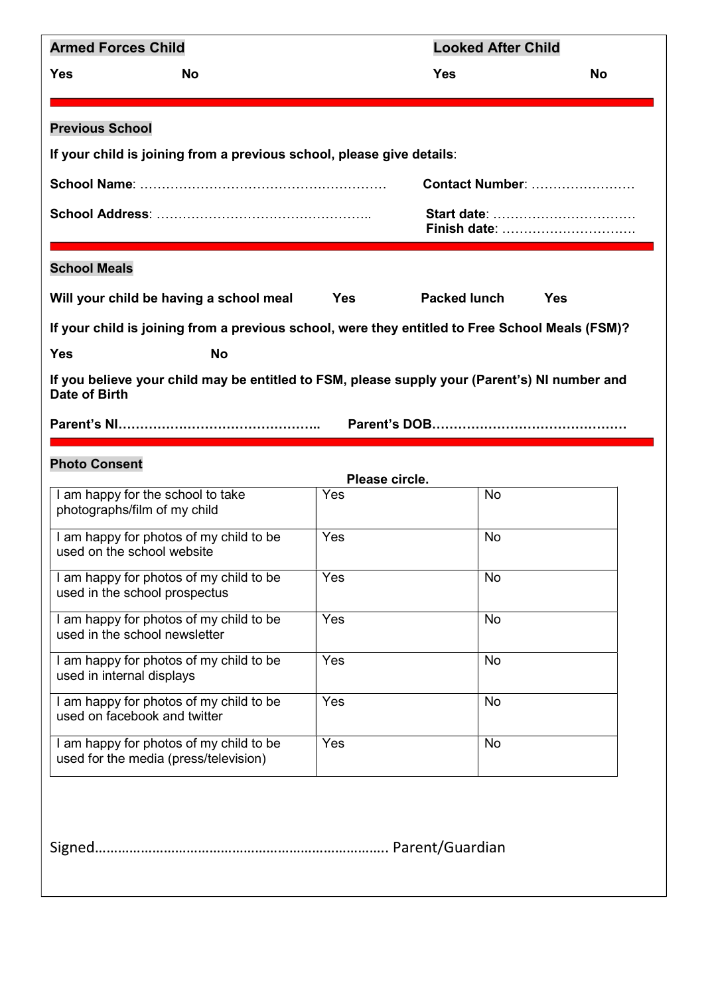| <b>Armed Forces Child</b>                                                                                      |            | <b>Looked After Child</b> |                             |
|----------------------------------------------------------------------------------------------------------------|------------|---------------------------|-----------------------------|
| <b>Yes</b><br><b>No</b>                                                                                        |            | Yes                       | <b>No</b>                   |
| <b>Previous School</b>                                                                                         |            |                           |                             |
| If your child is joining from a previous school, please give details:                                          |            |                           |                             |
|                                                                                                                |            |                           | <b>Contact Number: </b>     |
|                                                                                                                |            |                           |                             |
|                                                                                                                |            |                           | Start date:<br>Finish date: |
| <b>School Meals</b>                                                                                            |            |                           |                             |
| Will your child be having a school meal                                                                        | <b>Yes</b> | <b>Packed lunch</b>       | <b>Yes</b>                  |
| If your child is joining from a previous school, were they entitled to Free School Meals (FSM)?                |            |                           |                             |
| <b>Yes</b><br><b>No</b>                                                                                        |            |                           |                             |
| If you believe your child may be entitled to FSM, please supply your (Parent's) NI number and<br>Date of Birth |            |                           |                             |
|                                                                                                                |            |                           |                             |
| <b>Photo Consent</b>                                                                                           |            | Please circle.            |                             |
| I am happy for the school to take<br>photographs/film of my child                                              | Yes        | No                        |                             |
| I am happy for photos of my child to be<br>used on the school website                                          | Yes        | <b>No</b>                 |                             |
| I am happy for photos of my child to be<br>used in the school prospectus                                       | Yes        | No                        |                             |
| I am happy for photos of my child to be<br>used in the school newsletter                                       | Yes        | <b>No</b>                 |                             |
| I am happy for photos of my child to be<br>used in internal displays                                           | Yes        | <b>No</b>                 |                             |
| I am happy for photos of my child to be<br>used on facebook and twitter                                        | Yes        | No                        |                             |
| I am happy for photos of my child to be<br>used for the media (press/television)                               | Yes        | No                        |                             |
|                                                                                                                |            |                           |                             |
|                                                                                                                |            |                           |                             |
| Signed.                                                                                                        |            |                           |                             |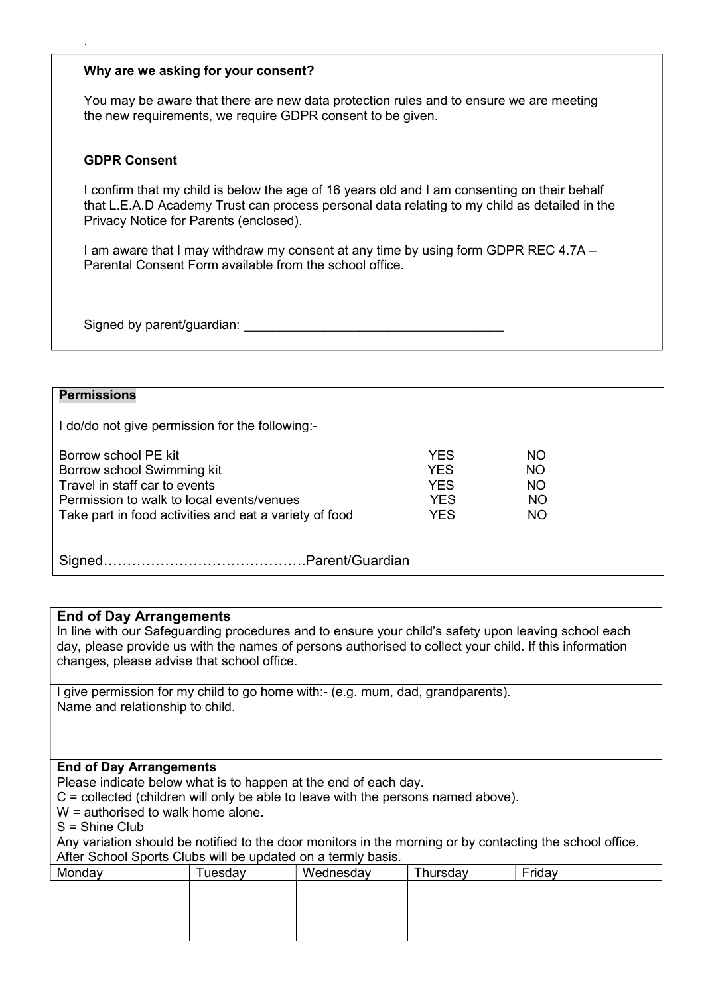#### Why are we asking for your consent?

You may be aware that there are new data protection rules and to ensure we are meeting the new requirements, we require GDPR consent to be given.

#### GDPR Consent

.

I confirm that my child is below the age of 16 years old and I am consenting on their behalf that L.E.A.D Academy Trust can process personal data relating to my child as detailed in the Privacy Notice for Parents (enclosed).

I am aware that I may withdraw my consent at any time by using form GDPR REC 4.7A – Parental Consent Form available from the school office.

Signed by parent/guardian:

#### **Permissions**

I do/do not give permission for the following:-

| Borrow school PE kit                                   | YFS        | NO.       |
|--------------------------------------------------------|------------|-----------|
| Borrow school Swimming kit                             | YFS        | <b>NO</b> |
| Travel in staff car to events                          | YES        | <b>NO</b> |
| Permission to walk to local events/venues              | <b>YES</b> | <b>NO</b> |
| Take part in food activities and eat a variety of food | YES        | NO.       |
|                                                        |            |           |
|                                                        |            |           |

Signed…………………………………….Parent/Guardian

#### End of Day Arrangements

In line with our Safeguarding procedures and to ensure your child's safety upon leaving school each day, please provide us with the names of persons authorised to collect your child. If this information changes, please advise that school office.

I give permission for my child to go home with:- (e.g. mum, dad, grandparents). Name and relationship to child.

#### End of Day Arrangements

Please indicate below what is to happen at the end of each day.

C = collected (children will only be able to leave with the persons named above).

W = authorised to walk home alone.

S = Shine Club

Any variation should be notified to the door monitors in the morning or by contacting the school office. After School Sports Clubs will be updated on a termly basis.

| Monday | <b>uesday</b> | Wednesday | Thursday | Friday |  |
|--------|---------------|-----------|----------|--------|--|
|        |               |           |          |        |  |
|        |               |           |          |        |  |
|        |               |           |          |        |  |
|        |               |           |          |        |  |